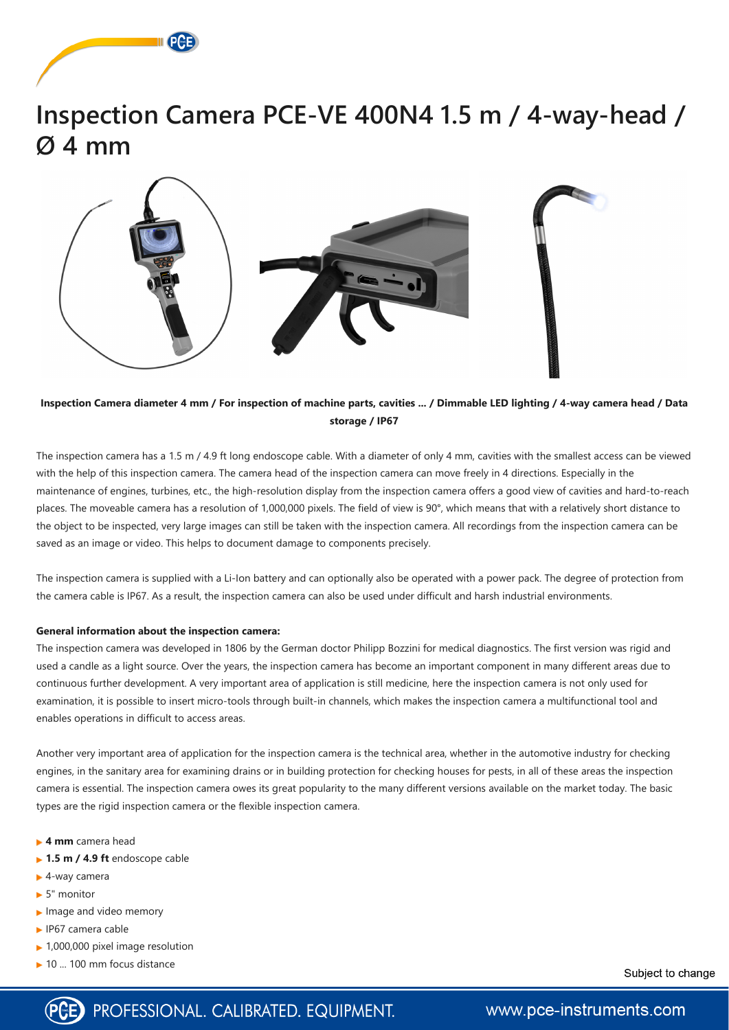



## **Inspection Camera diameter 4 mm / For inspection of machine parts, cavities ... / Dimmable LED lighting / 4-way camera head / Data storage / IP67**

The inspection camera has a 1.5 m / 4.9 ft long endoscope cable. With a diameter of only 4 mm, cavities with the smallest access can be viewed with the help of this inspection camera. The camera head of the inspection camera can move freely in 4 directions. Especially in the maintenance of engines, turbines, etc., the high-resolution display from the inspection camera offers a good view of cavities and hard-to-reach places. The moveable camera has a resolution of 1,000,000 pixels. The field of view is 90°, which means that with a relatively short distance to the object to be inspected, very large images can still be taken with the inspection camera. All recordings from the inspection camera can be saved as an image or video. This helps to document damage to components precisely.

The inspection camera is supplied with a Li-Ion battery and can optionally also be operated with a power pack. The degree of protection from the camera cable is IP67. As a result, the inspection camera can also be used under difficult and harsh industrial environments.

- **4 mm** camera head
- **► 1.5 m / 4.9 ft** endoscope cable
- ► 4-way camera
- ► 5" monitor
- $\blacktriangleright$  Image and video memory
- ► IP67 camera cable
- ▶ 1,000,000 pixel image resolution
- ► 10 ... 100 mm focus distance

Subject to change

www.pce-instruments.com



## **General information about the inspection camera:**

The inspection camera was developed in 1806 by the German doctor Philipp Bozzini for medical diagnostics. The first version was rigid and used a candle as a light source. Over the years, the inspection camera has become an important component in many different areas due to continuous further development. A very important area of application is still medicine, here the inspection camera is not only used for examination, it is possible to insert micro-tools through built-in channels, which makes the inspection camera a multifunctional tool and enables operations in difficult to access areas.

Another very important area of application for the inspection camera is the technical area, whether in the automotive industry for checking engines, in the sanitary area for examining drains or in building protection for checking houses for pests, in all of these areas the inspection

camera is essential. The inspection camera owes its great popularity to the many different versions available on the market today. The basic types are the rigid inspection camera or the flexible inspection camera.